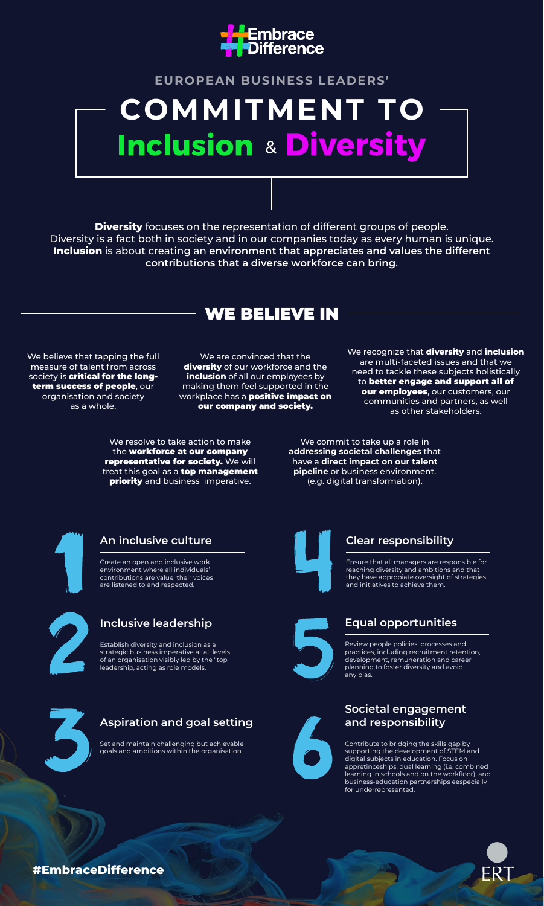

# **EUROPEAN BUSINESS LEADERS' COMMITMENT TO Inclusion & Diversity**

**Diversity** focuses on the representation of different groups of people. Diversity is a fact both in society and in our companies today as every human is unique. **Inclusion** is about creating an **environment that appreciates and values the different contributions that a diverse workforce can bring**.

WE BELIEVE IN

We believe that tapping the full measure of talent from across society is critical for the longterm success of people, our organisation and society as a whole.

We are convinced that the **diversity** of our workforce and the **inclusion** of all our employees by making them feel supported in the workplace has a **positive impact on** our company and society.

We resolve to take action to make the workforce at our company representative for society. We will treat this goal as a top management priority and business imperative.

We recognize that **diversity** and **inclusion** are multi-faceted issues and that we need to tackle these subjects holistically to better engage and support all of our employees, our customers, our communities and partners, as well as other stakeholders.

We commit to take up a role in **addressing societal challenges** that have a **direct impact on our talent pipeline** or business environment. (e.g. digital transformation).



## **An inclusive culture**

Create an open and inclusive work environment where all individuals' contributions are value, their voices are listened to and respected



## **Inclusive leadership**

Establish diversity and inclusion as a strategic business imperative at all levels of an organisation visibly led by the "top leadership, acting as role models.



## **Aspiration and goal setting**

Set and maintain challenging but achievable goals and ambitions within the organisation.



## **Clear responsibility**

Ensure that all managers are responsible for reaching diversity and ambitions and that they have appropiate oversight of strategies and initiatives to achieve them.



## **Equal opportunities**

Review people policies, processes and practices, including recruitment retention, development, remuneration and career planning to foster diversity and avoid any bias.



## **Societal engagement and responsibility**

Contribute to bridging the skills gap by supporting the development of STEM and digital subjects in education. Focus on appretinceships, dual learning (i.e. combined learning in schools and on the workfloor), and business-education partnerships eespecially for underrepresented.